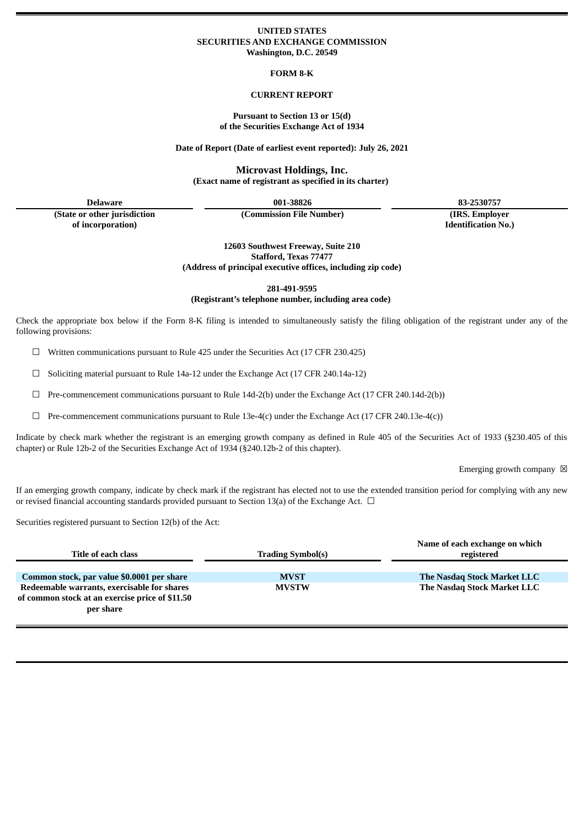# **UNITED STATES SECURITIES AND EXCHANGE COMMISSION Washington, D.C. 20549**

**FORM 8-K**

# **CURRENT REPORT**

## **Pursuant to Section 13 or 15(d) of the Securities Exchange Act of 1934**

**Date of Report (Date of earliest event reported): July 26, 2021**

**Microvast Holdings, Inc. (Exact name of registrant as specified in its charter)**

**Delaware 001-38826 83-2530757**

**(State or other jurisdiction of incorporation)**

**(Commission File Number) (IRS. Employer**

**Identification No.)**

**12603 Southwest Freeway, Suite 210 Stafford, Texas 77477 (Address of principal executive offices, including zip code)**

**281-491-9595**

**(Registrant's telephone number, including area code)**

Check the appropriate box below if the Form 8-K filing is intended to simultaneously satisfy the filing obligation of the registrant under any of the following provisions:

☐ Written communications pursuant to Rule 425 under the Securities Act (17 CFR 230.425)

☐ Soliciting material pursuant to Rule 14a-12 under the Exchange Act (17 CFR 240.14a-12)

 $\Box$  Pre-commencement communications pursuant to Rule 14d-2(b) under the Exchange Act (17 CFR 240.14d-2(b))

 $\Box$  Pre-commencement communications pursuant to Rule 13e-4(c) under the Exchange Act (17 CFR 240.13e-4(c))

Indicate by check mark whether the registrant is an emerging growth company as defined in Rule 405 of the Securities Act of 1933 (§230.405 of this chapter) or Rule 12b-2 of the Securities Exchange Act of 1934 (§240.12b-2 of this chapter).

Emerging growth company  $\boxtimes$ 

If an emerging growth company, indicate by check mark if the registrant has elected not to use the extended transition period for complying with any new or revised financial accounting standards provided pursuant to Section 13(a) of the Exchange Act.  $\Box$ 

Securities registered pursuant to Section 12(b) of the Act:

| Title of each class                                          | <b>Trading Symbol(s)</b> | Name of each exchange on which<br>registered |
|--------------------------------------------------------------|--------------------------|----------------------------------------------|
|                                                              |                          |                                              |
| Common stock, par value \$0.0001 per share                   | <b>MVST</b>              | The Nasdag Stock Market LLC                  |
| Redeemable warrants, exercisable for shares                  | <b>MVSTW</b>             | The Nasdaq Stock Market LLC                  |
| of common stock at an exercise price of \$11.50<br>per share |                          |                                              |
|                                                              |                          |                                              |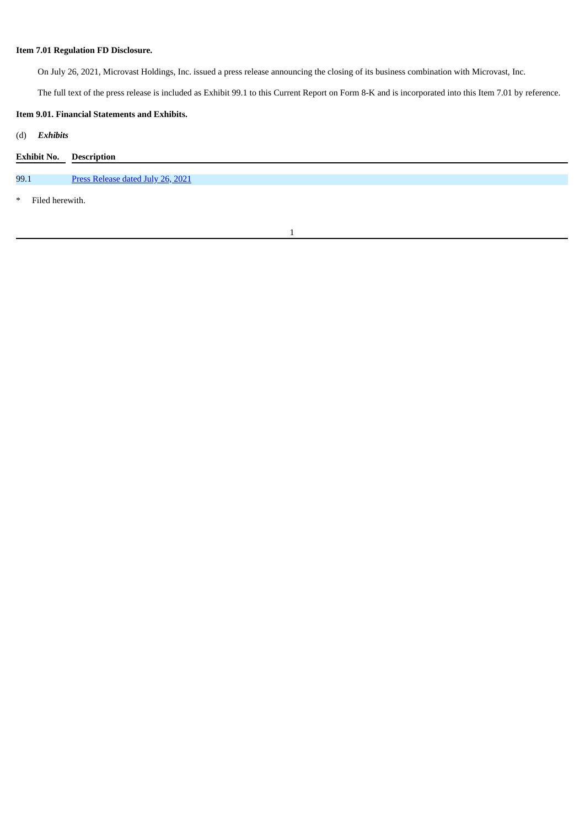# **Item 7.01 Regulation FD Disclosure.**

On July 26, 2021, Microvast Holdings, Inc. issued a press release announcing the closing of its business combination with Microvast, Inc.

The full text of the press release is included as Exhibit 99.1 to this Current Report on Form 8-K and is incorporated into this Item 7.01 by reference.

# **Item 9.01. Financial Statements and Exhibits.**

(d) *Exhibits*

| <b>Exhibit No.</b> Description |                                   |
|--------------------------------|-----------------------------------|
| 99.1                           | Press Release dated July 26, 2021 |
| $\ast$<br>Filed herewith.      |                                   |

1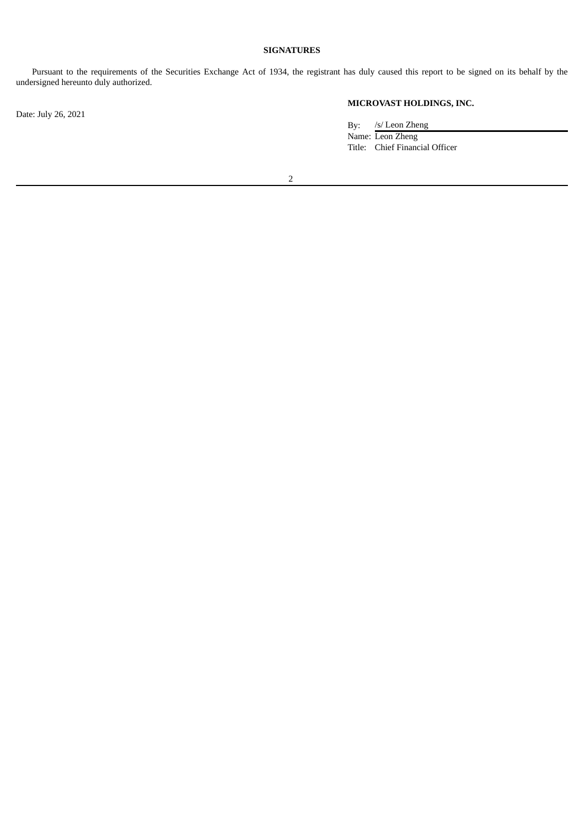# **SIGNATURES**

Pursuant to the requirements of the Securities Exchange Act of 1934, the registrant has duly caused this report to be signed on its behalf by the undersigned hereunto duly authorized.

Date: July 26, 2021

# **MICROVAST HOLDINGS, INC.**

By: /s/ Leon Zheng

Name: Leon Zheng Title: Chief Financial Officer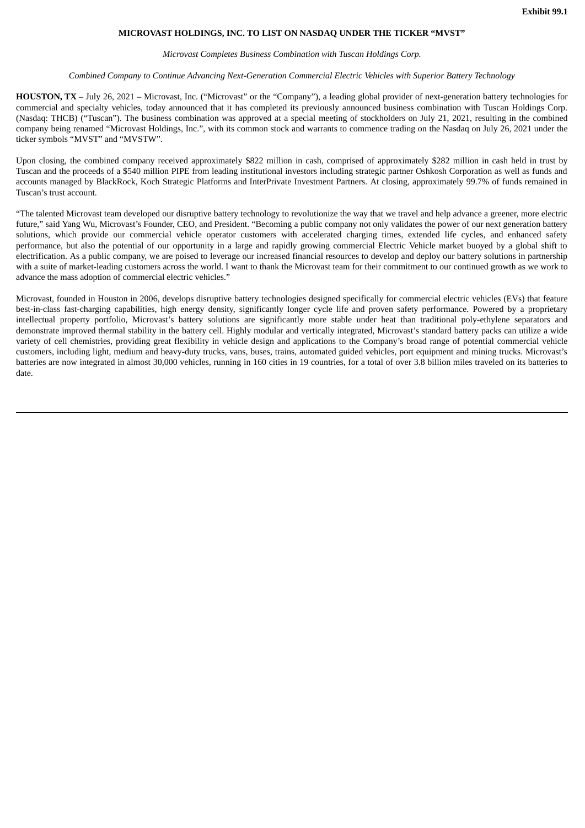### **MICROVAST HOLDINGS, INC. TO LIST ON NASDAQ UNDER THE TICKER "MVST"**

#### *Microvast Completes Business Combination with Tuscan Holdings Corp.*

### <span id="page-3-0"></span>*Combined Company to Continue Advancing Next-Generation Commercial Electric Vehicles with Superior Battery Technology*

**HOUSTON, TX** – July 26, 2021 – Microvast, Inc. ("Microvast" or the "Company"), a leading global provider of next-generation battery technologies for commercial and specialty vehicles, today announced that it has completed its previously announced business combination with Tuscan Holdings Corp. (Nasdaq: THCB) ("Tuscan"). The business combination was approved at a special meeting of stockholders on July 21, 2021, resulting in the combined company being renamed "Microvast Holdings, Inc.", with its common stock and warrants to commence trading on the Nasdaq on July 26, 2021 under the ticker symbols "MVST" and "MVSTW".

Upon closing, the combined company received approximately \$822 million in cash, comprised of approximately \$282 million in cash held in trust by Tuscan and the proceeds of a \$540 million PIPE from leading institutional investors including strategic partner Oshkosh Corporation as well as funds and accounts managed by BlackRock, Koch Strategic Platforms and InterPrivate Investment Partners. At closing, approximately 99.7% of funds remained in Tuscan's trust account.

"The talented Microvast team developed our disruptive battery technology to revolutionize the way that we travel and help advance a greener, more electric future," said Yang Wu, Microvast's Founder, CEO, and President. "Becoming a public company not only validates the power of our next generation battery solutions, which provide our commercial vehicle operator customers with accelerated charging times, extended life cycles, and enhanced safety performance, but also the potential of our opportunity in a large and rapidly growing commercial Electric Vehicle market buoyed by a global shift to electrification. As a public company, we are poised to leverage our increased financial resources to develop and deploy our battery solutions in partnership with a suite of market-leading customers across the world. I want to thank the Microvast team for their commitment to our continued growth as we work to advance the mass adoption of commercial electric vehicles."

Microvast, founded in Houston in 2006, develops disruptive battery technologies designed specifically for commercial electric vehicles (EVs) that feature best-in-class fast-charging capabilities, high energy density, significantly longer cycle life and proven safety performance. Powered by a proprietary intellectual property portfolio, Microvast's battery solutions are significantly more stable under heat than traditional poly-ethylene separators and demonstrate improved thermal stability in the battery cell. Highly modular and vertically integrated, Microvast's standard battery packs can utilize a wide variety of cell chemistries, providing great flexibility in vehicle design and applications to the Company's broad range of potential commercial vehicle customers, including light, medium and heavy-duty trucks, vans, buses, trains, automated guided vehicles, port equipment and mining trucks. Microvast's batteries are now integrated in almost 30,000 vehicles, running in 160 cities in 19 countries, for a total of over 3.8 billion miles traveled on its batteries to date.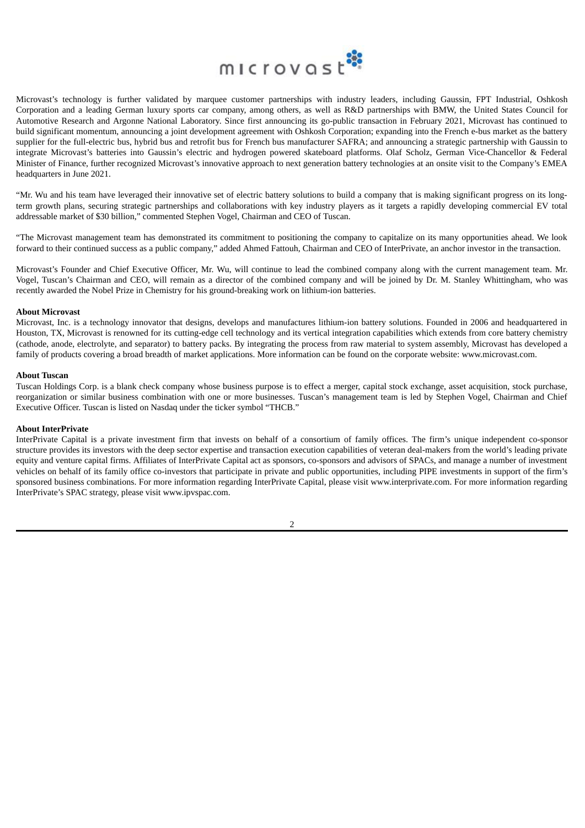

Microvast's technology is further validated by marquee customer partnerships with industry leaders, including Gaussin, FPT Industrial, Oshkosh Corporation and a leading German luxury sports car company, among others, as well as R&D partnerships with BMW, the United States Council for Automotive Research and Argonne National Laboratory. Since first announcing its go-public transaction in February 2021, Microvast has continued to build significant momentum, announcing a joint development agreement with Oshkosh Corporation; expanding into the French e-bus market as the battery supplier for the full-electric bus, hybrid bus and retrofit bus for French bus manufacturer SAFRA; and announcing a strategic partnership with Gaussin to integrate Microvast's batteries into Gaussin's electric and hydrogen powered skateboard platforms. Olaf Scholz, German Vice-Chancellor & Federal Minister of Finance, further recognized Microvast's innovative approach to next generation battery technologies at an onsite visit to the Company's EMEA headquarters in June 2021.

"Mr. Wu and his team have leveraged their innovative set of electric battery solutions to build a company that is making significant progress on its longterm growth plans, securing strategic partnerships and collaborations with key industry players as it targets a rapidly developing commercial EV total addressable market of \$30 billion," commented Stephen Vogel, Chairman and CEO of Tuscan.

"The Microvast management team has demonstrated its commitment to positioning the company to capitalize on its many opportunities ahead. We look forward to their continued success as a public company," added Ahmed Fattouh, Chairman and CEO of InterPrivate, an anchor investor in the transaction.

Microvast's Founder and Chief Executive Officer, Mr. Wu, will continue to lead the combined company along with the current management team. Mr. Vogel, Tuscan's Chairman and CEO, will remain as a director of the combined company and will be joined by Dr. M. Stanley Whittingham, who was recently awarded the Nobel Prize in Chemistry for his ground-breaking work on lithium-ion batteries.

### **About Microvast**

Microvast, Inc. is a technology innovator that designs, develops and manufactures lithium-ion battery solutions. Founded in 2006 and headquartered in Houston, TX, Microvast is renowned for its cutting-edge cell technology and its vertical integration capabilities which extends from core battery chemistry (cathode, anode, electrolyte, and separator) to battery packs. By integrating the process from raw material to system assembly, Microvast has developed a family of products covering a broad breadth of market applications. More information can be found on the corporate website: www.microvast.com.

### **About Tuscan**

Tuscan Holdings Corp. is a blank check company whose business purpose is to effect a merger, capital stock exchange, asset acquisition, stock purchase, reorganization or similar business combination with one or more businesses. Tuscan's management team is led by Stephen Vogel, Chairman and Chief Executive Officer. Tuscan is listed on Nasdaq under the ticker symbol "THCB."

# **About InterPrivate**

InterPrivate Capital is a private investment firm that invests on behalf of a consortium of family offices. The firm's unique independent co-sponsor structure provides its investors with the deep sector expertise and transaction execution capabilities of veteran deal-makers from the world's leading private equity and venture capital firms. Affiliates of InterPrivate Capital act as sponsors, co-sponsors and advisors of SPACs, and manage a number of investment vehicles on behalf of its family office co-investors that participate in private and public opportunities, including PIPE investments in support of the firm's sponsored business combinations. For more information regarding InterPrivate Capital, please visit www.interprivate.com. For more information regarding InterPrivate's SPAC strategy, please visit www.ipvspac.com.

2